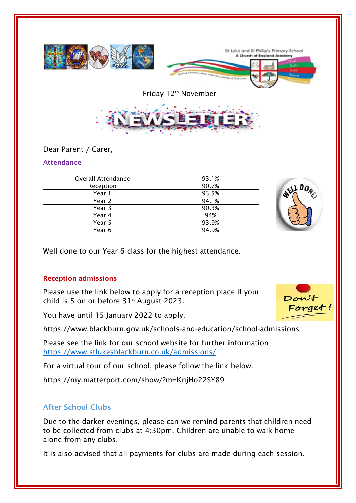

Dear Parent / Carer,

### **Attendance**

| <b>Overall Attendance</b> | 93.1% |
|---------------------------|-------|
| Reception                 | 90.7% |
| Year 1                    | 93.5% |
| Year 2                    | 94.1% |
| Year 3                    | 90.3% |
| Year 4                    | 94%   |
| Year 5                    | 93.9% |
| Year 6                    | 94.9% |



Well done to our Year 6 class for the highest attendance.

## **Reception admissions**

Please use the link below to apply for a reception place if your child is 5 on or before  $31<sup>st</sup>$  August 2023.

You have until 15 January 2022 to apply.

https://www.blackburn.gov.uk/schools-and-education/school-admissions

Please see the link for our school website for further information <https://www.stlukesblackburn.co.uk/admissions/>

For a virtual tour of our school, please follow the link below.

https://my.matterport.com/show/?m=KnjHo22SY89

# **After School Clubs**

Due to the darker evenings, please can we remind parents that children need to be collected from clubs at 4:30pm. Children are unable to walk home alone from any clubs.

It is also advised that all payments for clubs are made during each session.

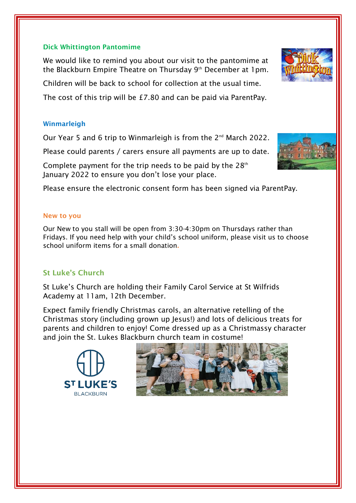#### **Dick Whittington Pantomime**

We would like to remind you about our visit to the pantomime at the Blackburn Empire Theatre on Thursday 9<sup>th</sup> December at 1pm.

Children will be back to school for collection at the usual time.

The cost of this trip will be £7.80 and can be paid via ParentPay.

### **Winmarleigh**

Our Year 5 and 6 trip to Winmarleigh is from the 2<sup>nd</sup> March 2022.

Please could parents / carers ensure all payments are up to date.

Complete payment for the trip needs to be paid by the  $28<sup>th</sup>$ January 2022 to ensure you don't lose your place.

Please ensure the electronic consent form has been signed via ParentPay.

#### **New to you**

Our New to you stall will be open from 3:30-4:30pm on Thursdays rather than Fridays. If you need help with your child's school uniform, please visit us to choose school uniform items for a small donation**.** 

## **St Luke's Church**

St Luke's Church are holding their Family Carol Service at St Wilfrids Academy at 11am, 12th December.

Expect family friendly Christmas carols, an alternative retelling of the Christmas story (including grown up Jesus!) and lots of delicious treats for parents and children to enjoy! Come dressed up as a Christmassy character and join the St. Lukes Blackburn church team in costume!







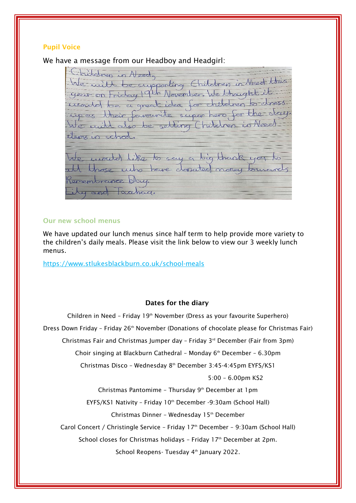#### **Pupil Voice**

We have a message from our Headboy and Headgirl:

Children in Need We will be supporting Children in Need this year on Friday 19th November. We thought it irronded be a great idea for children to dress up as their favourite super hero for the day. also be selling Children is Need  $t$ items in school unouted like to say a big thank you rose who have dopated notey tourands emembrance day. y and Taxhad.

#### **Our new school menus**

We have updated our lunch menus since half term to help provide more variety to the children's daily meals. Please visit the link below to view our 3 weekly lunch menus.

https://www.stlukesblackburn.co.uk/school-meals

#### **Dates for the diary**

Children in Need – Friday 19th November (Dress as your favourite Superhero) Dress Down Friday - Friday 26<sup>th</sup> November (Donations of chocolate please for Christmas Fair) Christmas Fair and Christmas Jumper day – Friday 3rd December (Fair from 3pm) Choir singing at Blackburn Cathedral - Monday 6<sup>th</sup> December - 6.30pm Christmas Disco – Wednesday 8th December 3:45-4:45pm EYFS/KS1 5:00 – 6.00pm KS2 Christmas Pantomime - Thursday 9<sup>th</sup> December at 1pm EYFS/KS1 Nativity - Friday 10<sup>th</sup> December -9:30am (School Hall) Christmas Dinner – Wednesday 15th December Carol Concert / Christingle Service – Friday 17th December – 9:30am (School Hall) School closes for Christmas holidays - Friday 17<sup>th</sup> December at 2pm. School Reopens- Tuesday 4<sup>th</sup> January 2022.